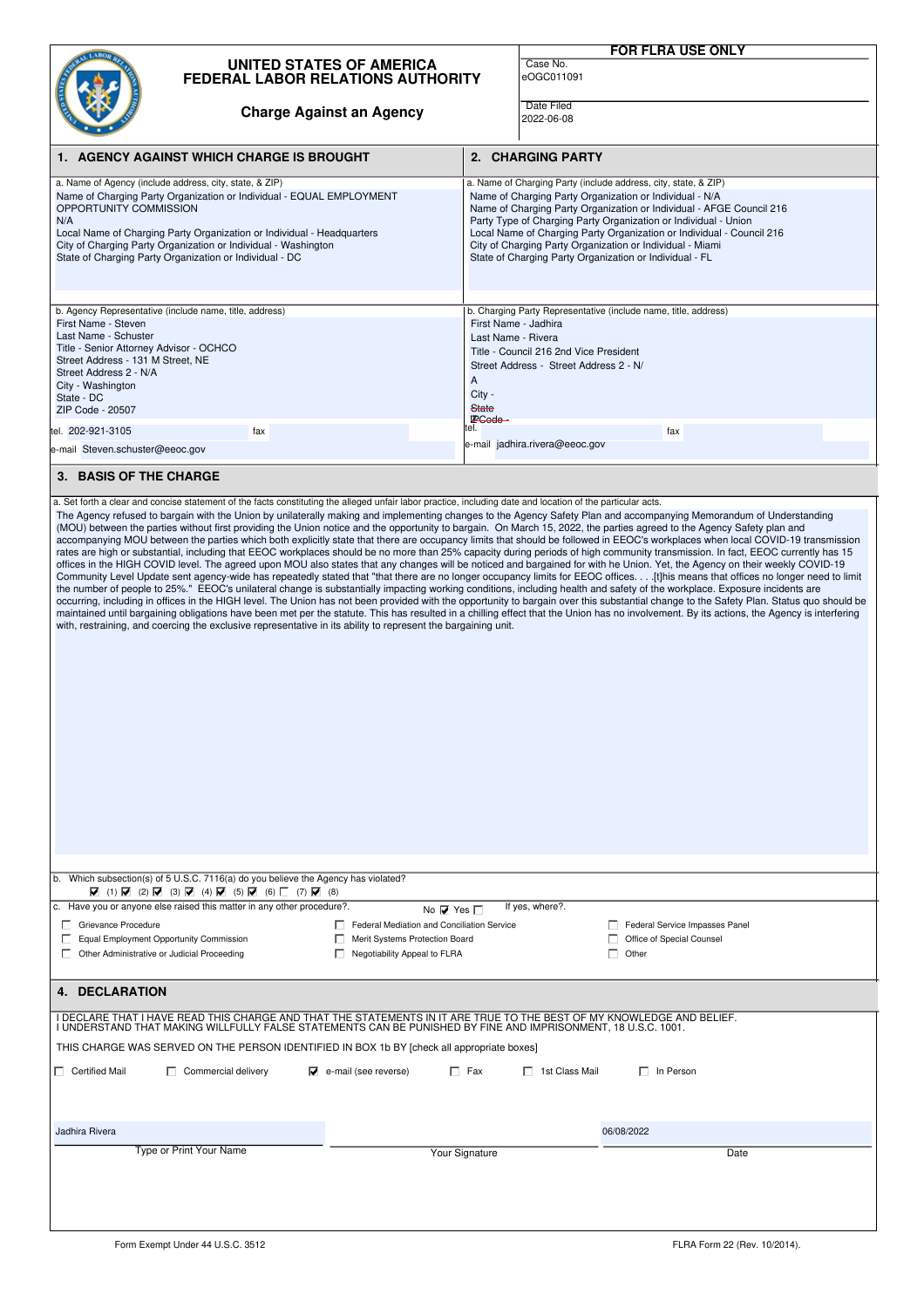|                                                                                                                                                                                                                                                                                                                                                                                                                                                                                                                                                                                                                                                                                                                                                                                                                                                                                                                                                                                                                                                                                                                                                                                                                                                                                                                                                                                                                                                                                                                                                                                                                                                                                                                                                                                 |                                                                             |                                                                                                              |                                                                                                                                                                                                                                                                                                                                                                                                                                                                        | <b>FOR FLRA USE ONLY</b>                                             |
|---------------------------------------------------------------------------------------------------------------------------------------------------------------------------------------------------------------------------------------------------------------------------------------------------------------------------------------------------------------------------------------------------------------------------------------------------------------------------------------------------------------------------------------------------------------------------------------------------------------------------------------------------------------------------------------------------------------------------------------------------------------------------------------------------------------------------------------------------------------------------------------------------------------------------------------------------------------------------------------------------------------------------------------------------------------------------------------------------------------------------------------------------------------------------------------------------------------------------------------------------------------------------------------------------------------------------------------------------------------------------------------------------------------------------------------------------------------------------------------------------------------------------------------------------------------------------------------------------------------------------------------------------------------------------------------------------------------------------------------------------------------------------------|-----------------------------------------------------------------------------|--------------------------------------------------------------------------------------------------------------|------------------------------------------------------------------------------------------------------------------------------------------------------------------------------------------------------------------------------------------------------------------------------------------------------------------------------------------------------------------------------------------------------------------------------------------------------------------------|----------------------------------------------------------------------|
|                                                                                                                                                                                                                                                                                                                                                                                                                                                                                                                                                                                                                                                                                                                                                                                                                                                                                                                                                                                                                                                                                                                                                                                                                                                                                                                                                                                                                                                                                                                                                                                                                                                                                                                                                                                 | <b>UNITED STATES OF AMERICA</b><br><b>FEDERAL LABOR RELATIONS AUTHORITY</b> |                                                                                                              |                                                                                                                                                                                                                                                                                                                                                                                                                                                                        | Case No.<br>eOGC011091                                               |
|                                                                                                                                                                                                                                                                                                                                                                                                                                                                                                                                                                                                                                                                                                                                                                                                                                                                                                                                                                                                                                                                                                                                                                                                                                                                                                                                                                                                                                                                                                                                                                                                                                                                                                                                                                                 | <b>Charge Against an Agency</b>                                             |                                                                                                              |                                                                                                                                                                                                                                                                                                                                                                                                                                                                        | Date Filed<br>2022-06-08                                             |
| 1. AGENCY AGAINST WHICH CHARGE IS BROUGHT                                                                                                                                                                                                                                                                                                                                                                                                                                                                                                                                                                                                                                                                                                                                                                                                                                                                                                                                                                                                                                                                                                                                                                                                                                                                                                                                                                                                                                                                                                                                                                                                                                                                                                                                       |                                                                             |                                                                                                              | 2. CHARGING PARTY                                                                                                                                                                                                                                                                                                                                                                                                                                                      |                                                                      |
| a. Name of Agency (include address, city, state, & ZIP)<br>Name of Charging Party Organization or Individual - EQUAL EMPLOYMENT<br>OPPORTUNITY COMMISSION<br>N/A<br>Local Name of Charging Party Organization or Individual - Headquarters<br>City of Charging Party Organization or Individual - Washington<br>State of Charging Party Organization or Individual - DC                                                                                                                                                                                                                                                                                                                                                                                                                                                                                                                                                                                                                                                                                                                                                                                                                                                                                                                                                                                                                                                                                                                                                                                                                                                                                                                                                                                                         |                                                                             |                                                                                                              | a. Name of Charging Party (include address, city, state, & ZIP)<br>Name of Charging Party Organization or Individual - N/A<br>Name of Charging Party Organization or Individual - AFGE Council 216<br>Party Type of Charging Party Organization or Individual - Union<br>Local Name of Charging Party Organization or Individual - Council 216<br>City of Charging Party Organization or Individual - Miami<br>State of Charging Party Organization or Individual - FL |                                                                      |
| b. Agency Representative (include name, title, address)                                                                                                                                                                                                                                                                                                                                                                                                                                                                                                                                                                                                                                                                                                                                                                                                                                                                                                                                                                                                                                                                                                                                                                                                                                                                                                                                                                                                                                                                                                                                                                                                                                                                                                                         |                                                                             |                                                                                                              |                                                                                                                                                                                                                                                                                                                                                                                                                                                                        | b. Charging Party Representative (include name, title, address)      |
| First Name - Steven<br>Last Name - Schuster<br>Title - Senior Attorney Advisor - OCHCO<br>Street Address - 131 M Street, NE<br>Street Address 2 - N/A<br>City - Washington<br>State - DC<br>ZIP Code - 20507                                                                                                                                                                                                                                                                                                                                                                                                                                                                                                                                                                                                                                                                                                                                                                                                                                                                                                                                                                                                                                                                                                                                                                                                                                                                                                                                                                                                                                                                                                                                                                    |                                                                             |                                                                                                              | First Name - Jadhira<br>Last Name - Rivera<br>Title - Council 216 2nd Vice President<br>Street Address - Street Address 2 - N/<br>A<br>City -<br><b>State</b><br>PCode -                                                                                                                                                                                                                                                                                               |                                                                      |
| tel. 202-921-3105                                                                                                                                                                                                                                                                                                                                                                                                                                                                                                                                                                                                                                                                                                                                                                                                                                                                                                                                                                                                                                                                                                                                                                                                                                                                                                                                                                                                                                                                                                                                                                                                                                                                                                                                                               | fax                                                                         |                                                                                                              |                                                                                                                                                                                                                                                                                                                                                                                                                                                                        | fax                                                                  |
| e-mail Steven.schuster@eeoc.gov                                                                                                                                                                                                                                                                                                                                                                                                                                                                                                                                                                                                                                                                                                                                                                                                                                                                                                                                                                                                                                                                                                                                                                                                                                                                                                                                                                                                                                                                                                                                                                                                                                                                                                                                                 |                                                                             |                                                                                                              |                                                                                                                                                                                                                                                                                                                                                                                                                                                                        | e-mail jadhira.rivera@eeoc.gov                                       |
| 3. BASIS OF THE CHARGE                                                                                                                                                                                                                                                                                                                                                                                                                                                                                                                                                                                                                                                                                                                                                                                                                                                                                                                                                                                                                                                                                                                                                                                                                                                                                                                                                                                                                                                                                                                                                                                                                                                                                                                                                          |                                                                             |                                                                                                              |                                                                                                                                                                                                                                                                                                                                                                                                                                                                        |                                                                      |
| The Agency refused to bargain with the Union by unilaterally making and implementing changes to the Agency Safety Plan and accompanying Memorandum of Understanding<br>(MOU) between the parties without first providing the Union notice and the opportunity to bargain. On March 15, 2022, the parties agreed to the Agency Safety plan and<br>accompanying MOU between the parties which both explicitly state that there are occupancy limits that should be followed in EEOC's workplaces when local COVID-19 transmission<br>rates are high or substantial, including that EEOC workplaces should be no more than 25% capacity during periods of high community transmission. In fact, EEOC currently has 15<br>offices in the HIGH COVID level. The agreed upon MOU also states that any changes will be noticed and bargained for with he Union. Yet, the Agency on their weekly COVID-19<br>Community Level Update sent agency-wide has repeatedly stated that "that there are no longer occupancy limits for EEOC offices. [t]his means that offices no longer need to limit<br>the number of people to 25%." EEOC's unilateral change is substantially impacting working conditions, including health and safety of the workplace. Exposure incidents are<br>occurring, including in offices in the HIGH level. The Union has not been provided with the opportunity to bargain over this substantial change to the Safety Plan. Status quo should be<br>maintained until bargaining obligations have been met per the statute. This has resulted in a chilling effect that the Union has no involvement. By its actions, the Agency is interfering<br>with, restraining, and coercing the exclusive representative in its ability to represent the bargaining unit. |                                                                             |                                                                                                              |                                                                                                                                                                                                                                                                                                                                                                                                                                                                        |                                                                      |
| b. Which subsection(s) of 5 U.S.C. 7116(a) do you believe the Agency has violated?<br>$\boxed{\blacktriangledown}$ (1) $\boxed{\blacktriangledown}$ (2) $\boxed{\blacktriangledown}$ (3) $\boxed{\blacktriangledown}$ (4) $\boxed{\blacktriangledown}$ (5) $\boxed{\blacktriangledown}$ (6) $\boxed{\square}$ (7) $\boxed{\blacktriangledown}$ (8)                                                                                                                                                                                                                                                                                                                                                                                                                                                                                                                                                                                                                                                                                                                                                                                                                                                                                                                                                                                                                                                                                                                                                                                                                                                                                                                                                                                                                              |                                                                             |                                                                                                              |                                                                                                                                                                                                                                                                                                                                                                                                                                                                        |                                                                      |
|                                                                                                                                                                                                                                                                                                                                                                                                                                                                                                                                                                                                                                                                                                                                                                                                                                                                                                                                                                                                                                                                                                                                                                                                                                                                                                                                                                                                                                                                                                                                                                                                                                                                                                                                                                                 | c. Have you or anyone else raised this matter in any other procedure?.      | No $\nabla$ Yes $\nabla$                                                                                     |                                                                                                                                                                                                                                                                                                                                                                                                                                                                        | If yes, where?.                                                      |
| Grievance Procedure<br>Equal Employment Opportunity Commission<br>Other Administrative or Judicial Proceeding                                                                                                                                                                                                                                                                                                                                                                                                                                                                                                                                                                                                                                                                                                                                                                                                                                                                                                                                                                                                                                                                                                                                                                                                                                                                                                                                                                                                                                                                                                                                                                                                                                                                   |                                                                             | Federal Mediation and Conciliation Service<br>Merit Systems Protection Board<br>Negotiability Appeal to FLRA |                                                                                                                                                                                                                                                                                                                                                                                                                                                                        | Federal Service Impasses Panel<br>Office of Special Counsel<br>Other |
| <b>4. DECLARATION</b>                                                                                                                                                                                                                                                                                                                                                                                                                                                                                                                                                                                                                                                                                                                                                                                                                                                                                                                                                                                                                                                                                                                                                                                                                                                                                                                                                                                                                                                                                                                                                                                                                                                                                                                                                           |                                                                             |                                                                                                              |                                                                                                                                                                                                                                                                                                                                                                                                                                                                        |                                                                      |
| I DECLARE THAT I HAVE READ THIS CHARGE AND THAT THE STATEMENTS IN IT ARE TRUE TO THE BEST OF MY KNOWLEDGE AND BELIEF.<br>I UNDERSTAND THAT MAKING WILLFULLY FALSE STATEMENTS CAN BE PUNISHED BY FINE AND IMPRISONMENT, 18 U.S.C. 1001.                                                                                                                                                                                                                                                                                                                                                                                                                                                                                                                                                                                                                                                                                                                                                                                                                                                                                                                                                                                                                                                                                                                                                                                                                                                                                                                                                                                                                                                                                                                                          |                                                                             |                                                                                                              |                                                                                                                                                                                                                                                                                                                                                                                                                                                                        |                                                                      |
| THIS CHARGE WAS SERVED ON THE PERSON IDENTIFIED IN BOX 1b BY [check all appropriate boxes]                                                                                                                                                                                                                                                                                                                                                                                                                                                                                                                                                                                                                                                                                                                                                                                                                                                                                                                                                                                                                                                                                                                                                                                                                                                                                                                                                                                                                                                                                                                                                                                                                                                                                      |                                                                             |                                                                                                              |                                                                                                                                                                                                                                                                                                                                                                                                                                                                        |                                                                      |
| $\Box$ Certified Mail                                                                                                                                                                                                                                                                                                                                                                                                                                                                                                                                                                                                                                                                                                                                                                                                                                                                                                                                                                                                                                                                                                                                                                                                                                                                                                                                                                                                                                                                                                                                                                                                                                                                                                                                                           | $\Box$ Commercial delivery                                                  | $\overline{\blacktriangledown}$ e-mail (see reverse)                                                         | $\Box$ Fax                                                                                                                                                                                                                                                                                                                                                                                                                                                             | □ 1st Class Mail<br>$\Box$ In Person                                 |
| Jadhira Rivera                                                                                                                                                                                                                                                                                                                                                                                                                                                                                                                                                                                                                                                                                                                                                                                                                                                                                                                                                                                                                                                                                                                                                                                                                                                                                                                                                                                                                                                                                                                                                                                                                                                                                                                                                                  |                                                                             |                                                                                                              |                                                                                                                                                                                                                                                                                                                                                                                                                                                                        | 06/08/2022                                                           |
|                                                                                                                                                                                                                                                                                                                                                                                                                                                                                                                                                                                                                                                                                                                                                                                                                                                                                                                                                                                                                                                                                                                                                                                                                                                                                                                                                                                                                                                                                                                                                                                                                                                                                                                                                                                 | <b>Type or Print Your Name</b>                                              |                                                                                                              | Your Signature                                                                                                                                                                                                                                                                                                                                                                                                                                                         | Date                                                                 |
|                                                                                                                                                                                                                                                                                                                                                                                                                                                                                                                                                                                                                                                                                                                                                                                                                                                                                                                                                                                                                                                                                                                                                                                                                                                                                                                                                                                                                                                                                                                                                                                                                                                                                                                                                                                 |                                                                             |                                                                                                              |                                                                                                                                                                                                                                                                                                                                                                                                                                                                        |                                                                      |